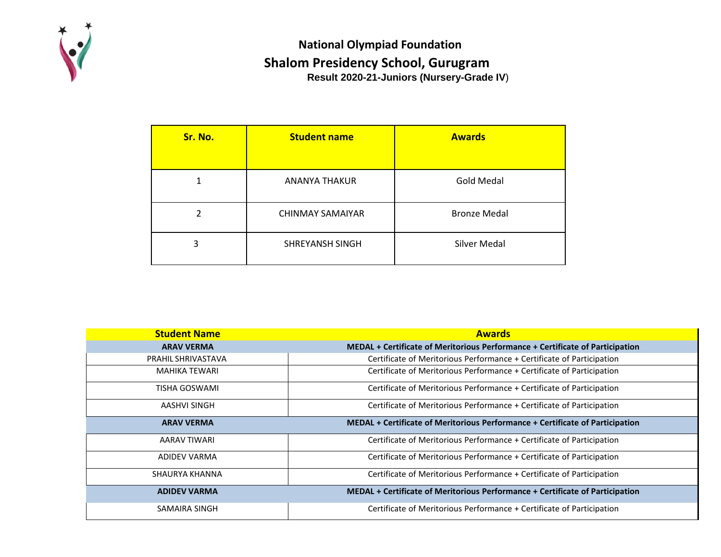

## **Result 2020-21-Juniors (Nursery-Grade IV**) **National Olympiad Foundation Shalom Presidency School, Gurugram**

| Sr. No. | <b>Student name</b>     | <b>Awards</b>       |
|---------|-------------------------|---------------------|
|         | ANANYA THAKUR           | <b>Gold Medal</b>   |
| 2       | <b>CHINMAY SAMAIYAR</b> | <b>Bronze Medal</b> |
| 3       | SHREYANSH SINGH         | <b>Silver Medal</b> |

| <b>Student Name</b>  | <b>Awards</b>                                                                 |
|----------------------|-------------------------------------------------------------------------------|
| <b>ARAV VERMA</b>    | MEDAL + Certificate of Meritorious Performance + Certificate of Participation |
| PRAHIL SHRIVASTAVA   | Certificate of Meritorious Performance + Certificate of Participation         |
| <b>MAHIKA TEWARI</b> | Certificate of Meritorious Performance + Certificate of Participation         |
| <b>TISHA GOSWAMI</b> | Certificate of Meritorious Performance + Certificate of Participation         |
| AASHVI SINGH         | Certificate of Meritorious Performance + Certificate of Participation         |
| <b>ARAV VERMA</b>    | MEDAL + Certificate of Meritorious Performance + Certificate of Participation |
| AARAV TIWARI         | Certificate of Meritorious Performance + Certificate of Participation         |
| <b>ADIDEV VARMA</b>  | Certificate of Meritorious Performance + Certificate of Participation         |
| SHAURYA KHANNA       | Certificate of Meritorious Performance + Certificate of Participation         |
| <b>ADIDEV VARMA</b>  | MEDAL + Certificate of Meritorious Performance + Certificate of Participation |
| SAMAIRA SINGH        | Certificate of Meritorious Performance + Certificate of Participation         |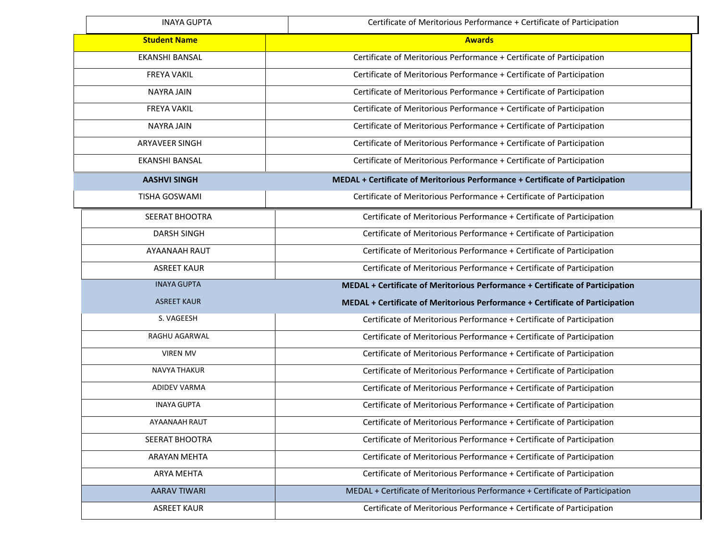| <b>INAYA GUPTA</b>   | Certificate of Meritorious Performance + Certificate of Participation         |
|----------------------|-------------------------------------------------------------------------------|
| <b>Student Name</b>  | <b>Awards</b>                                                                 |
| EKANSHI BANSAL       | Certificate of Meritorious Performance + Certificate of Participation         |
| <b>FREYA VAKIL</b>   | Certificate of Meritorious Performance + Certificate of Participation         |
| <b>NAYRA JAIN</b>    | Certificate of Meritorious Performance + Certificate of Participation         |
| <b>FREYA VAKIL</b>   | Certificate of Meritorious Performance + Certificate of Participation         |
| <b>NAYRA JAIN</b>    | Certificate of Meritorious Performance + Certificate of Participation         |
| ARYAVEER SINGH       | Certificate of Meritorious Performance + Certificate of Participation         |
| EKANSHI BANSAL       | Certificate of Meritorious Performance + Certificate of Participation         |
| <b>AASHVI SINGH</b>  | MEDAL + Certificate of Meritorious Performance + Certificate of Participation |
| <b>TISHA GOSWAMI</b> | Certificate of Meritorious Performance + Certificate of Participation         |
| SEERAT BHOOTRA       | Certificate of Meritorious Performance + Certificate of Participation         |
| <b>DARSH SINGH</b>   | Certificate of Meritorious Performance + Certificate of Participation         |
| AYAANAAH RAUT        | Certificate of Meritorious Performance + Certificate of Participation         |
| <b>ASREET KAUR</b>   | Certificate of Meritorious Performance + Certificate of Participation         |
| <b>INAYA GUPTA</b>   | MEDAL + Certificate of Meritorious Performance + Certificate of Participation |
| <b>ASREET KAUR</b>   | MEDAL + Certificate of Meritorious Performance + Certificate of Participation |
| S. VAGEESH           | Certificate of Meritorious Performance + Certificate of Participation         |
| RAGHU AGARWAL        | Certificate of Meritorious Performance + Certificate of Participation         |
| <b>VIREN MV</b>      | Certificate of Meritorious Performance + Certificate of Participation         |
| NAVYA THAKUR         | Certificate of Meritorious Performance + Certificate of Participation         |
| <b>ADIDEV VARMA</b>  | Certificate of Meritorious Performance + Certificate of Participation         |
| <b>INAYA GUPTA</b>   | Certificate of Meritorious Performance + Certificate of Participation         |
| AYAANAAH RAUT        | Certificate of Meritorious Performance + Certificate of Participation         |
| SEERAT BHOOTRA       | Certificate of Meritorious Performance + Certificate of Participation         |
| ARAYAN MEHTA         | Certificate of Meritorious Performance + Certificate of Participation         |
| ARYA MEHTA           | Certificate of Meritorious Performance + Certificate of Participation         |
| <b>AARAV TIWARI</b>  | MEDAL + Certificate of Meritorious Performance + Certificate of Participation |
| <b>ASREET KAUR</b>   | Certificate of Meritorious Performance + Certificate of Participation         |